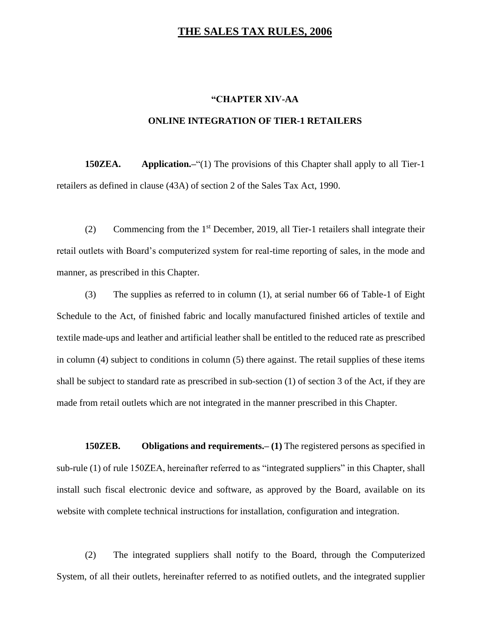## **THE SALES TAX RULES, 2006**

## **"CHAPTER XIV-AA**

## **ONLINE INTEGRATION OF TIER-1 RETAILERS**

**150ZEA. Application.**—<sup>"</sup>(1) The provisions of this Chapter shall apply to all Tier-1 retailers as defined in clause (43A) of section 2 of the Sales Tax Act, 1990.

(2) Commencing from the  $1<sup>st</sup>$  December, 2019, all Tier-1 retailers shall integrate their retail outlets with Board's computerized system for real-time reporting of sales, in the mode and manner, as prescribed in this Chapter.

(3) The supplies as referred to in column (1), at serial number 66 of Table-1 of Eight Schedule to the Act, of finished fabric and locally manufactured finished articles of textile and textile made-ups and leather and artificial leather shall be entitled to the reduced rate as prescribed in column (4) subject to conditions in column (5) there against. The retail supplies of these items shall be subject to standard rate as prescribed in sub-section (1) of section 3 of the Act, if they are made from retail outlets which are not integrated in the manner prescribed in this Chapter.

**150ZEB. Obligations and requirements.– (1)** The registered persons as specified in sub-rule (1) of rule 150ZEA, hereinafter referred to as "integrated suppliers" in this Chapter, shall install such fiscal electronic device and software, as approved by the Board, available on its website with complete technical instructions for installation, configuration and integration.

(2) The integrated suppliers shall notify to the Board, through the Computerized System, of all their outlets, hereinafter referred to as notified outlets, and the integrated supplier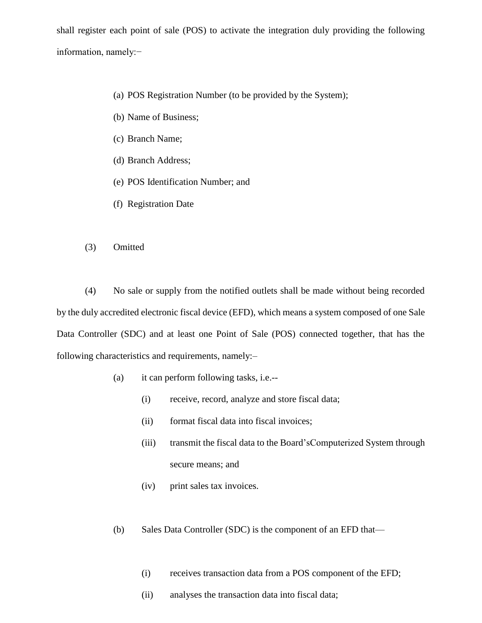shall register each point of sale (POS) to activate the integration duly providing the following information, namely:−

- (a) POS Registration Number (to be provided by the System);
- (b) Name of Business;
- (c) Branch Name;
- (d) Branch Address;
- (e) POS Identification Number; and
- (f) Registration Date
- (3) Omitted

(4) No sale or supply from the notified outlets shall be made without being recorded by the duly accredited electronic fiscal device (EFD), which means a system composed of one Sale Data Controller (SDC) and at least one Point of Sale (POS) connected together, that has the following characteristics and requirements, namely:–

- (a) it can perform following tasks, i.e.--
	- (i) receive, record, analyze and store fiscal data;
	- (ii) format fiscal data into fiscal invoices;
	- (iii) transmit the fiscal data to the Board'sComputerized System through secure means; and
	- (iv) print sales tax invoices.
- (b) Sales Data Controller (SDC) is the component of an EFD that—
	- (i) receives transaction data from a POS component of the EFD;
	- (ii) analyses the transaction data into fiscal data;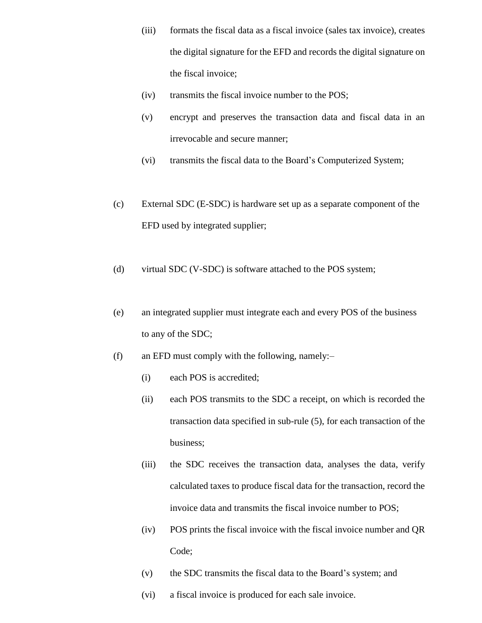- (iii) formats the fiscal data as a fiscal invoice (sales tax invoice), creates the digital signature for the EFD and records the digital signature on the fiscal invoice;
- (iv) transmits the fiscal invoice number to the POS;
- (v) encrypt and preserves the transaction data and fiscal data in an irrevocable and secure manner;
- (vi) transmits the fiscal data to the Board's Computerized System;
- (c) External SDC (E-SDC) is hardware set up as a separate component of the EFD used by integrated supplier;
- (d) virtual SDC (V-SDC) is software attached to the POS system;
- (e) an integrated supplier must integrate each and every POS of the business to any of the SDC;
- (f) an EFD must comply with the following, namely:–
	- (i) each POS is accredited;
	- (ii) each POS transmits to the SDC a receipt, on which is recorded the transaction data specified in sub-rule (5), for each transaction of the business;
	- (iii) the SDC receives the transaction data, analyses the data, verify calculated taxes to produce fiscal data for the transaction, record the invoice data and transmits the fiscal invoice number to POS;
	- (iv) POS prints the fiscal invoice with the fiscal invoice number and QR Code;
	- (v) the SDC transmits the fiscal data to the Board's system; and
	- (vi) a fiscal invoice is produced for each sale invoice.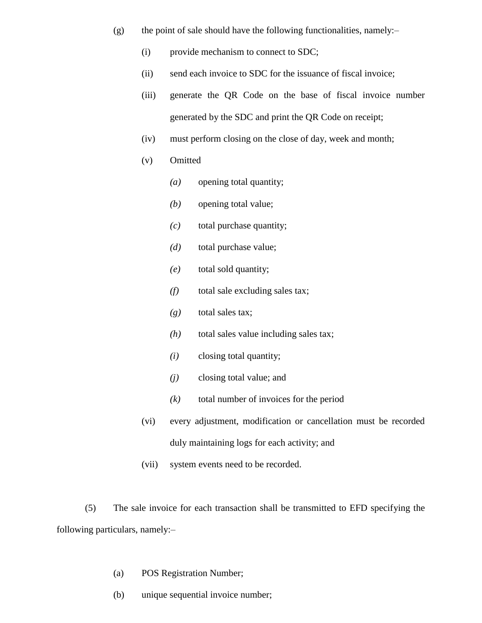- $(g)$  the point of sale should have the following functionalities, namely:-
	- (i) provide mechanism to connect to SDC;
	- (ii) send each invoice to SDC for the issuance of fiscal invoice;
	- (iii) generate the QR Code on the base of fiscal invoice number generated by the SDC and print the QR Code on receipt;
	- (iv) must perform closing on the close of day, week and month;
	- (v) Omitted
		- *(a)* opening total quantity;
		- *(b)* opening total value;
		- *(c)* total purchase quantity;
		- *(d)* total purchase value;
		- *(e)* total sold quantity;
		- *(f)* total sale excluding sales tax;
		- *(g)* total sales tax;
		- *(h)* total sales value including sales tax;
		- *(i)* closing total quantity;
		- *(j)* closing total value; and
		- *(k)* total number of invoices for the period
	- (vi) every adjustment, modification or cancellation must be recorded duly maintaining logs for each activity; and
	- (vii) system events need to be recorded.

(5) The sale invoice for each transaction shall be transmitted to EFD specifying the following particulars, namely:–

- (a) POS Registration Number;
- (b) unique sequential invoice number;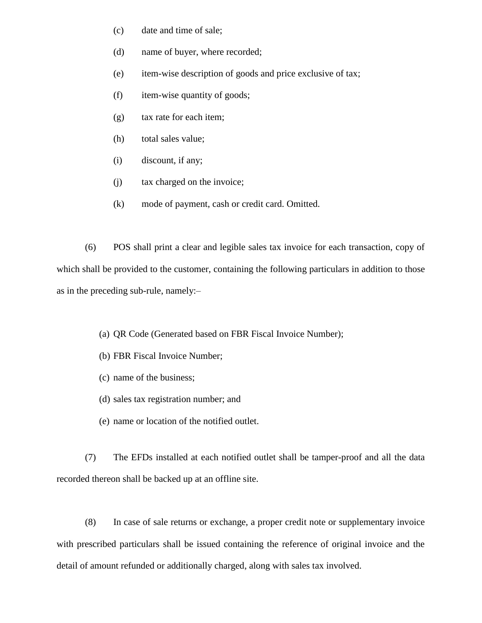- (c) date and time of sale;
- (d) name of buyer, where recorded;
- (e) item-wise description of goods and price exclusive of tax;
- (f) item-wise quantity of goods;
- (g) tax rate for each item;
- (h) total sales value;
- (i) discount, if any;
- (j) tax charged on the invoice;
- (k) mode of payment, cash or credit card. Omitted.

(6) POS shall print a clear and legible sales tax invoice for each transaction, copy of which shall be provided to the customer, containing the following particulars in addition to those as in the preceding sub-rule, namely:–

- (a) QR Code (Generated based on FBR Fiscal Invoice Number);
- (b) FBR Fiscal Invoice Number;
- (c) name of the business;
- (d) sales tax registration number; and
- (e) name or location of the notified outlet.

(7) The EFDs installed at each notified outlet shall be tamper-proof and all the data recorded thereon shall be backed up at an offline site.

(8) In case of sale returns or exchange, a proper credit note or supplementary invoice with prescribed particulars shall be issued containing the reference of original invoice and the detail of amount refunded or additionally charged, along with sales tax involved.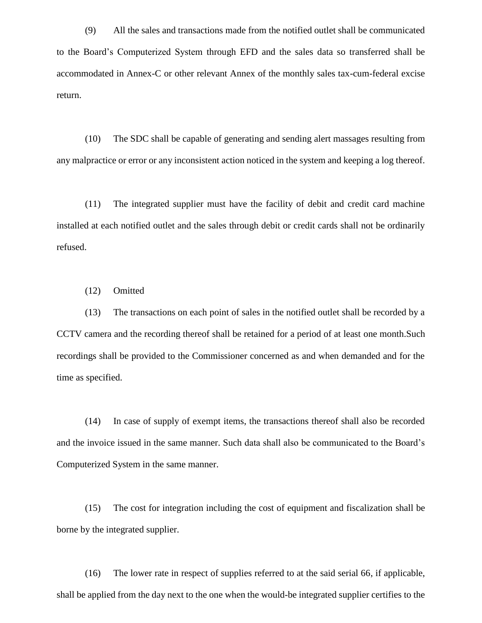(9) All the sales and transactions made from the notified outlet shall be communicated to the Board's Computerized System through EFD and the sales data so transferred shall be accommodated in Annex-C or other relevant Annex of the monthly sales tax-cum-federal excise return.

(10) The SDC shall be capable of generating and sending alert massages resulting from any malpractice or error or any inconsistent action noticed in the system and keeping a log thereof.

(11) The integrated supplier must have the facility of debit and credit card machine installed at each notified outlet and the sales through debit or credit cards shall not be ordinarily refused.

(12) Omitted

(13) The transactions on each point of sales in the notified outlet shall be recorded by a CCTV camera and the recording thereof shall be retained for a period of at least one month.Such recordings shall be provided to the Commissioner concerned as and when demanded and for the time as specified.

(14) In case of supply of exempt items, the transactions thereof shall also be recorded and the invoice issued in the same manner. Such data shall also be communicated to the Board's Computerized System in the same manner.

(15) The cost for integration including the cost of equipment and fiscalization shall be borne by the integrated supplier.

(16) The lower rate in respect of supplies referred to at the said serial 66, if applicable, shall be applied from the day next to the one when the would-be integrated supplier certifies to the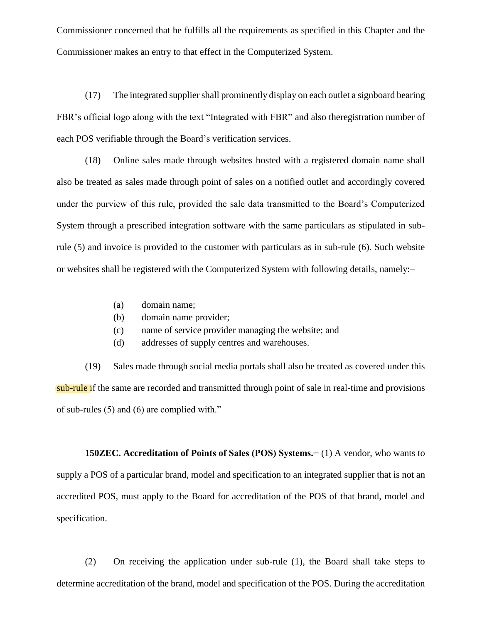Commissioner concerned that he fulfills all the requirements as specified in this Chapter and the Commissioner makes an entry to that effect in the Computerized System.

(17) The integrated supplier shall prominently display on each outlet a signboard bearing FBR's official logo along with the text "Integrated with FBR" and also theregistration number of each POS verifiable through the Board's verification services.

(18) Online sales made through websites hosted with a registered domain name shall also be treated as sales made through point of sales on a notified outlet and accordingly covered under the purview of this rule, provided the sale data transmitted to the Board's Computerized System through a prescribed integration software with the same particulars as stipulated in subrule (5) and invoice is provided to the customer with particulars as in sub-rule (6). Such website or websites shall be registered with the Computerized System with following details, namely:–

- (a) domain name;
- (b) domain name provider;
- (c) name of service provider managing the website; and
- (d) addresses of supply centres and warehouses.

(19) Sales made through social media portals shall also be treated as covered under this sub-rule if the same are recorded and transmitted through point of sale in real-time and provisions of sub-rules (5) and (6) are complied with."

**150ZEC. Accreditation of Points of Sales (POS) Systems.−** (1) A vendor, who wants to supply a POS of a particular brand, model and specification to an integrated supplier that is not an accredited POS, must apply to the Board for accreditation of the POS of that brand, model and specification.

(2) On receiving the application under sub-rule (1), the Board shall take steps to determine accreditation of the brand, model and specification of the POS. During the accreditation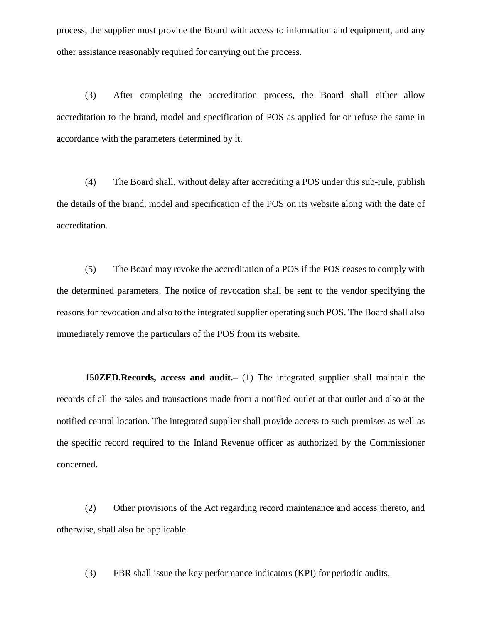process, the supplier must provide the Board with access to information and equipment, and any other assistance reasonably required for carrying out the process.

(3) After completing the accreditation process, the Board shall either allow accreditation to the brand, model and specification of POS as applied for or refuse the same in accordance with the parameters determined by it.

(4) The Board shall, without delay after accrediting a POS under this sub-rule, publish the details of the brand, model and specification of the POS on its website along with the date of accreditation.

(5) The Board may revoke the accreditation of a POS if the POS ceases to comply with the determined parameters. The notice of revocation shall be sent to the vendor specifying the reasons for revocation and also to the integrated supplier operating such POS. The Board shall also immediately remove the particulars of the POS from its website.

**150ZED.Records, access and audit.–** (1) The integrated supplier shall maintain the records of all the sales and transactions made from a notified outlet at that outlet and also at the notified central location. The integrated supplier shall provide access to such premises as well as the specific record required to the Inland Revenue officer as authorized by the Commissioner concerned.

(2) Other provisions of the Act regarding record maintenance and access thereto, and otherwise, shall also be applicable.

(3) FBR shall issue the key performance indicators (KPI) for periodic audits.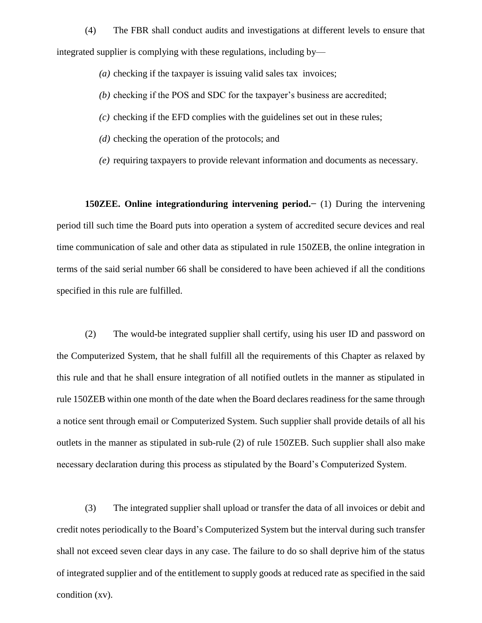(4) The FBR shall conduct audits and investigations at different levels to ensure that integrated supplier is complying with these regulations, including by—

- *(a)* checking if the taxpayer is issuing valid sales tax invoices;
- *(b)* checking if the POS and SDC for the taxpayer's business are accredited;
- *(c)* checking if the EFD complies with the guidelines set out in these rules;
- *(d)* checking the operation of the protocols; and
- *(e)* requiring taxpayers to provide relevant information and documents as necessary.

**150ZEE. Online integrationduring intervening period.−** (1) During the intervening period till such time the Board puts into operation a system of accredited secure devices and real time communication of sale and other data as stipulated in rule 150ZEB, the online integration in terms of the said serial number 66 shall be considered to have been achieved if all the conditions specified in this rule are fulfilled.

(2) The would-be integrated supplier shall certify, using his user ID and password on the Computerized System, that he shall fulfill all the requirements of this Chapter as relaxed by this rule and that he shall ensure integration of all notified outlets in the manner as stipulated in rule 150ZEB within one month of the date when the Board declares readiness for the same through a notice sent through email or Computerized System. Such supplier shall provide details of all his outlets in the manner as stipulated in sub-rule (2) of rule 150ZEB. Such supplier shall also make necessary declaration during this process as stipulated by the Board's Computerized System.

(3) The integrated supplier shall upload or transfer the data of all invoices or debit and credit notes periodically to the Board's Computerized System but the interval during such transfer shall not exceed seven clear days in any case. The failure to do so shall deprive him of the status of integrated supplier and of the entitlement to supply goods at reduced rate as specified in the said condition (xv).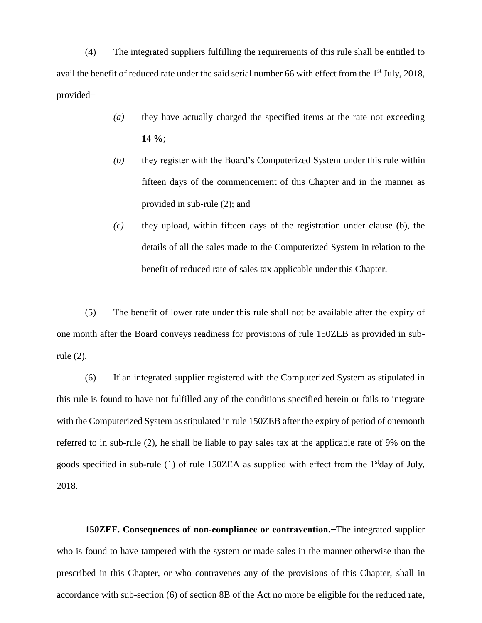(4) The integrated suppliers fulfilling the requirements of this rule shall be entitled to avail the benefit of reduced rate under the said serial number 66 with effect from the 1<sup>st</sup> July, 2018, provided−

- *(a)* they have actually charged the specified items at the rate not exceeding **14 %**;
- *(b)* they register with the Board's Computerized System under this rule within fifteen days of the commencement of this Chapter and in the manner as provided in sub-rule (2); and
- *(c)* they upload, within fifteen days of the registration under clause (b), the details of all the sales made to the Computerized System in relation to the benefit of reduced rate of sales tax applicable under this Chapter.

(5) The benefit of lower rate under this rule shall not be available after the expiry of one month after the Board conveys readiness for provisions of rule 150ZEB as provided in subrule (2).

(6) If an integrated supplier registered with the Computerized System as stipulated in this rule is found to have not fulfilled any of the conditions specified herein or fails to integrate with the Computerized System as stipulated in rule 150ZEB after the expiry of period of onemonth referred to in sub-rule (2), he shall be liable to pay sales tax at the applicable rate of 9% on the goods specified in sub-rule (1) of rule 150ZEA as supplied with effect from the 1<sup>st</sup>day of July, 2018.

**150ZEF. Consequences of non-compliance or contravention.−**The integrated supplier who is found to have tampered with the system or made sales in the manner otherwise than the prescribed in this Chapter, or who contravenes any of the provisions of this Chapter, shall in accordance with sub-section (6) of section 8B of the Act no more be eligible for the reduced rate,